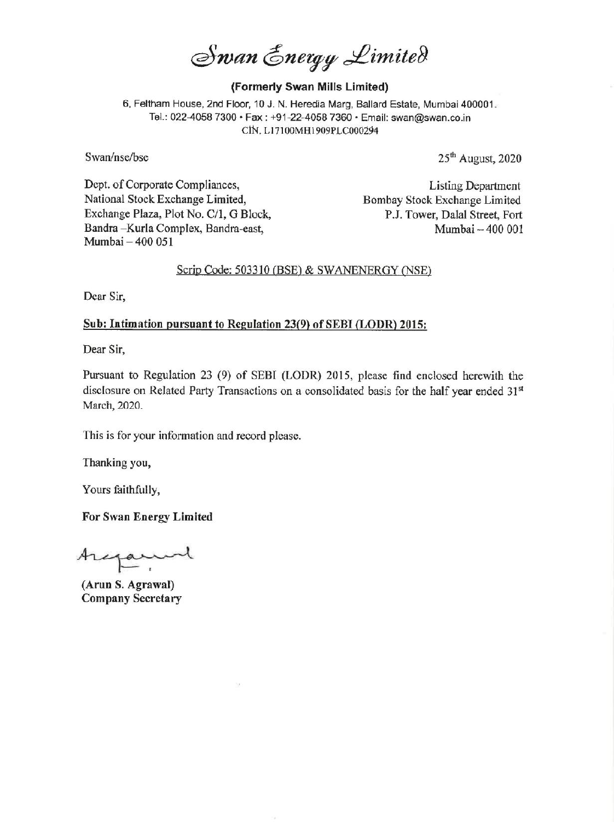Swan Energy Limited

### (Formerly Swan Mills Limited)

6, Feltham House, 2nd Floor, 10 J. N. Heredia Marg, Ballard Estate, Mumbai 400001. Tel.: 022-4058 7300 « Fax : +91-22-4058 7360 \* Email: svan@swan.co.in CIN. L17100MH1909PLC000294

Swan/nse/bse 25<sup>th</sup> August, 2020

Dept. of Corporate Compliances, Listing Department National Stock Exchange Limited, Bombay Stock Exchange Limited Exchange Plaza, Plot No. C/1, G Block, P.J. Tower, Dalal Street, Fort Bandra –Kurla Complex, Bandra-east, Mumbai – 400 001 Mumbai — 400 051

### Scrip Code: 503310 (BSE) & SWANENERGY (NSE)

Dear Sir,

## Sub: Intimation pursuant to Regulation 23(9) of SEBI (LODR) 2015:

Dear Sir,

Pursuant to Regulation 23 (9) of SEBI (LODR) 2015, please find enclosed herewith the disclosure on Related Party Transactions on a consolidated basis for the half year ended 31" March, 2020.

This is for your information and record please.

Thanking you,

Yours faithfully,

For Swan Energy Limited

Aregament

(Arun S. Agrawal) Company Secretary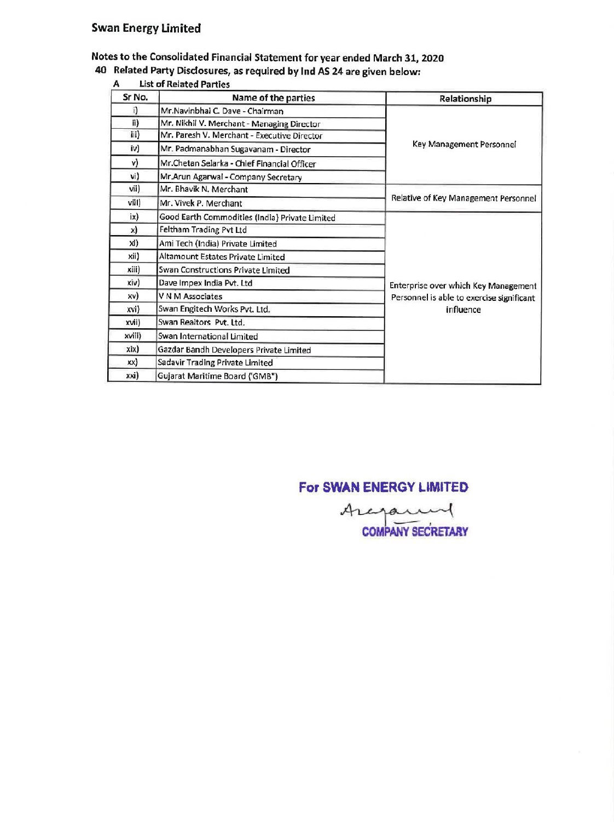# Swan Energy Limited

# Notes to the Consolidated Financial Statement for year ended March 31, 2020 **an Energy Limited<br>
Solution Consolidated Financial Statement for your Related Party Disclosures, as required by Ind Astrophon Construction Construction Construction Construction Construction Construction Construction Cons**

40 Related Party Disclosures, as required by Ind AS 24 are given below:

|                 | an Energy Limited                                                                                      |                                           |
|-----------------|--------------------------------------------------------------------------------------------------------|-------------------------------------------|
|                 | tes to the Consolidated Financial Statement for year ended March 31, 2020                              |                                           |
|                 | Related Party Disclosures, as required by Ind AS 24 are given below:<br><b>List of Related Parties</b> |                                           |
|                 | Name of the parties                                                                                    | Relationship                              |
| ï)              | Mr.Navinbhai C. Dave - Chairman                                                                        |                                           |
| ii)             | Mr. Nikhil V. Merchant - Managing Director                                                             |                                           |
| iii)            | Mr. Paresh V. Merchant - Executive Director                                                            |                                           |
| iv)             | Mr. Padmanabhan Sugavanam - Director                                                                   | Key Management Personnel                  |
| v)              | Mr.Chetan Selarka - Chief Financial Officer                                                            |                                           |
| vi)             | Mr.Arun Agarwal - Company Secretary                                                                    |                                           |
| vii)            | Mr. Bhavik N. Merchant                                                                                 |                                           |
| viil)           | Mr. Vivek P. Merchant                                                                                  | Relative of Key Management Personnel      |
| ix)             | Good Earth Commodities (India) Private Limited                                                         |                                           |
| x)              | Feltham Trading Pvt Ltd                                                                                |                                           |
| xi)             | Ami Tech (India) Private Limited                                                                       |                                           |
| xii)            | Altamount Estates Private Limited                                                                      |                                           |
| xiii)           | Swan Constructions Private Limited                                                                     |                                           |
| xi(v)           | Dave Impex India Pvt. Ltd                                                                              | Enterprise over which Key Management      |
| xv)             | V N M Associates                                                                                       | Personnel is able to exercise significant |
| xvi)            | Swan Engitech Works Pvt. Ltd.                                                                          | influence                                 |
| Sr No.<br>xvii) | Swan Realtors Pvt. Ltd.                                                                                |                                           |
| xviii)          | Swan International Limited                                                                             |                                           |
| xix)            | Gazdar Bandh Developers Private Limited                                                                |                                           |
| xx)             | Sadavir Trading Private Limited<br>Gujarat Maritime Board ('GMB")                                      |                                           |

### A List of Related Parties

# For SWAN ENERGY LIMITED

Arejam COMPANY SECRETARY